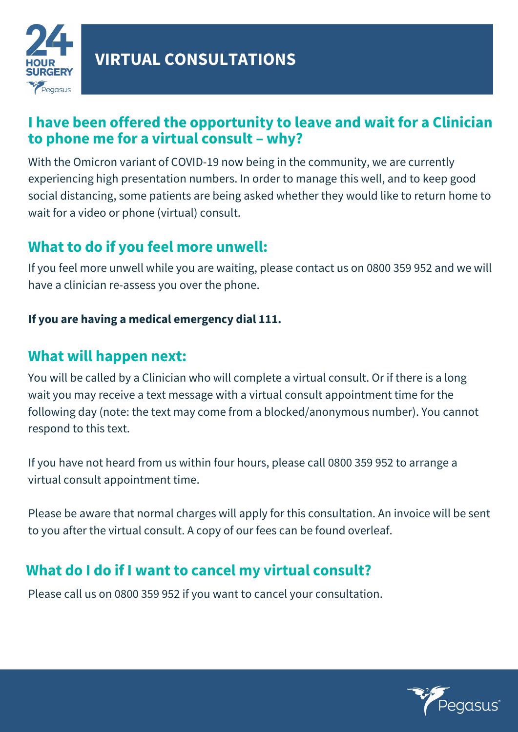

### **I have been offered the opportunity to leave and wait for a Clinician to phone me for a virtual consult – why?**

With the Omicron variant of COVID-19 now being in the community, we are currently experiencing high presentation numbers. In order to manage this well, and to keep good social distancing, some patients are being asked whether they would like to return home to wait for a video or phone (virtual) consult.

# **What to do if you feel more unwell:**

If you feel more unwell while you are waiting, please contact us on 0800 359 952 and we will have a clinician re-assess you over the phone.

#### **If you are having a medical emergency dial 111.**

### **What will happen next:**

You will be called by a Clinician who will complete a virtual consult. Or if there is a long wait you may receive a text message with a virtual consult appointment time for the following day (note: the text may come from a blocked/anonymous number). You cannot respond to this text.

If you have not heard from us within four hours, please call 0800 359 952 to arrange a virtual consult appointment time.

Please be aware that normal charges will apply for this consultation. An invoice will be sent to you after the virtual consult. A copy of our fees can be found overleaf.

# **What do I do if I want to cancel my virtual consult?**

Please call us on 0800 359 952 if you want to cancel your consultation.